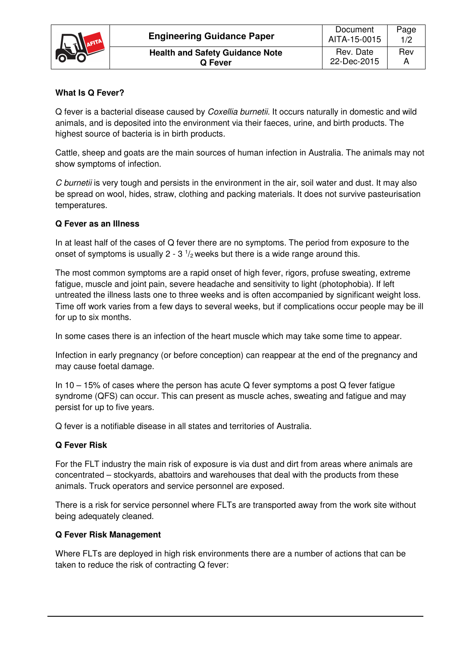

# **What Is Q Fever?**

Q fever is a bacterial disease caused by Coxellia burnetii. It occurs naturally in domestic and wild animals, and is deposited into the environment via their faeces, urine, and birth products. The highest source of bacteria is in birth products.

Cattle, sheep and goats are the main sources of human infection in Australia. The animals may not show symptoms of infection.

C burnetii is very tough and persists in the environment in the air, soil water and dust. It may also be spread on wool, hides, straw, clothing and packing materials. It does not survive pasteurisation temperatures.

## **Q Fever as an Illness**

In at least half of the cases of Q fever there are no symptoms. The period from exposure to the onset of symptoms is usually 2 - 3  $\frac{1}{2}$  weeks but there is a wide range around this.

The most common symptoms are a rapid onset of high fever, rigors, profuse sweating, extreme fatigue, muscle and joint pain, severe headache and sensitivity to light (photophobia). If left untreated the illness lasts one to three weeks and is often accompanied by significant weight loss. Time off work varies from a few days to several weeks, but if complications occur people may be ill for up to six months.

In some cases there is an infection of the heart muscle which may take some time to appear.

Infection in early pregnancy (or before conception) can reappear at the end of the pregnancy and may cause foetal damage.

In 10 – 15% of cases where the person has acute Q fever symptoms a post Q fever fatigue syndrome (QFS) can occur. This can present as muscle aches, sweating and fatigue and may persist for up to five years.

Q fever is a notifiable disease in all states and territories of Australia.

## **Q Fever Risk**

For the FLT industry the main risk of exposure is via dust and dirt from areas where animals are concentrated – stockyards, abattoirs and warehouses that deal with the products from these animals. Truck operators and service personnel are exposed.

There is a risk for service personnel where FLTs are transported away from the work site without being adequately cleaned.

## **Q Fever Risk Management**

Where FLTs are deployed in high risk environments there are a number of actions that can be taken to reduce the risk of contracting Q fever: